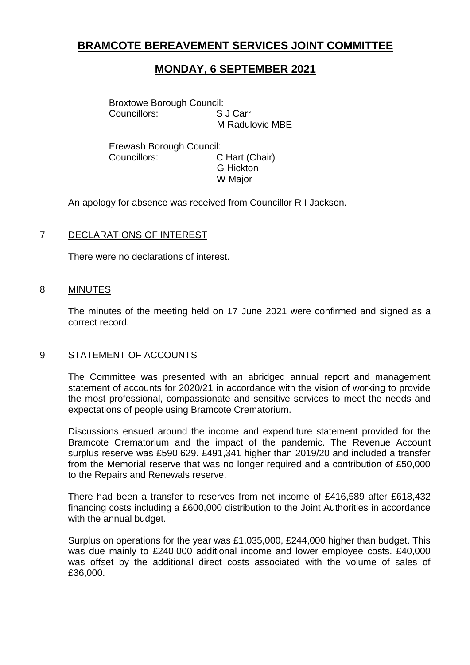## **BRAMCOTE BEREAVEMENT SERVICES JOINT COMMITTEE**

# **MONDAY, 6 SEPTEMBER 2021**

Broxtowe Borough Council: Councillors: S J Carr M Radulovic MBE

Erewash Borough Council: Councillors: C Hart (Chair) G Hickton W Major

An apology for absence was received from Councillor R I Jackson.

## 7 DECLARATIONS OF INTEREST

There were no declarations of interest.

#### 8 MINUTES

The minutes of the meeting held on 17 June 2021 were confirmed and signed as a correct record.

## 9 STATEMENT OF ACCOUNTS

The Committee was presented with an abridged annual report and management statement of accounts for 2020/21 in accordance with the vision of working to provide the most professional, compassionate and sensitive services to meet the needs and expectations of people using Bramcote Crematorium.

Discussions ensued around the income and expenditure statement provided for the Bramcote Crematorium and the impact of the pandemic. The Revenue Account surplus reserve was £590,629. £491,341 higher than 2019/20 and included a transfer from the Memorial reserve that was no longer required and a contribution of £50,000 to the Repairs and Renewals reserve.

There had been a transfer to reserves from net income of £416,589 after £618,432 financing costs including a £600,000 distribution to the Joint Authorities in accordance with the annual budget.

Surplus on operations for the year was £1,035,000, £244,000 higher than budget. This was due mainly to £240,000 additional income and lower employee costs. £40,000 was offset by the additional direct costs associated with the volume of sales of £36,000.